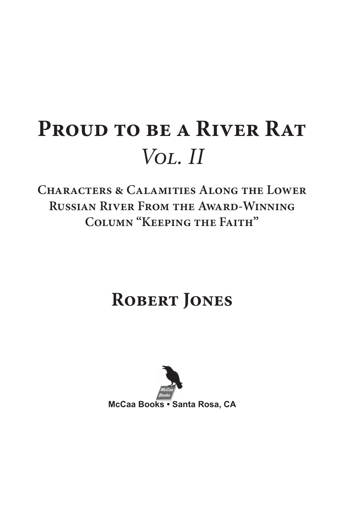# PROUD TO BE A RIVER RAT *Vol. II*

**Characters & Calamities Along the Lower Russian River From the Award-Winning Column "Keeping the Faith"**

## **Robert Jones**

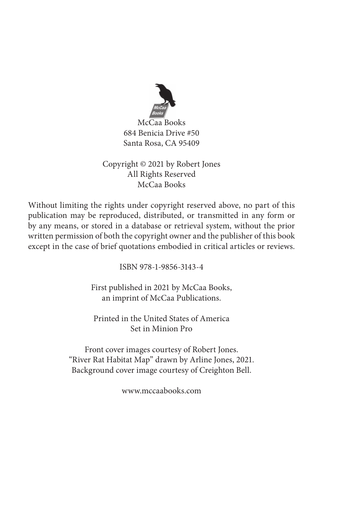

McCaa Books 684 Benicia Drive #50 Santa Rosa, CA 95409

Copyright © 2021 by Robert Jones All Rights Reserved McCaa Books

Without limiting the rights under copyright reserved above, no part of this publication may be reproduced, distributed, or transmitted in any form or by any means, or stored in a database or retrieval system, without the prior written permission of both the copyright owner and the publisher of this book except in the case of brief quotations embodied in critical articles or reviews.

ISBN 978-1-9856-3143-4

First published in 2021 by McCaa Books, an imprint of McCaa Publications.

Printed in the United States of America Set in Minion Pro

Front cover images courtesy of Robert Jones. "River Rat Habitat Map" drawn by Arline Jones, 2021. Background cover image courtesy of Creighton Bell.

www.mccaabooks.com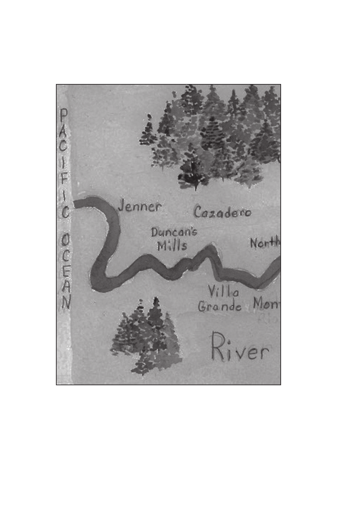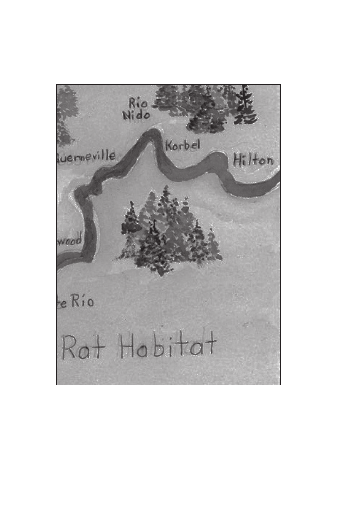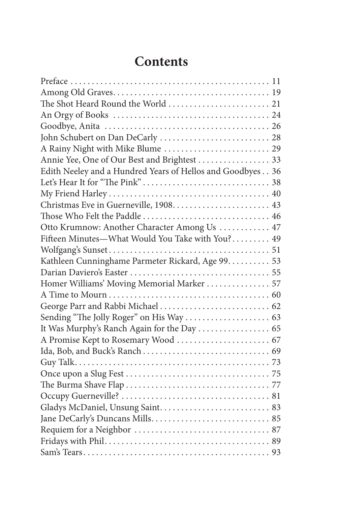## **Contents**

| Annie Yee, One of Our Best and Brightest  33               |  |
|------------------------------------------------------------|--|
| Edith Neeley and a Hundred Years of Hellos and Goodbyes 36 |  |
|                                                            |  |
|                                                            |  |
|                                                            |  |
| Those Who Felt the Paddle  46                              |  |
| Otto Krumnow: Another Character Among Us  47               |  |
| Fifteen Minutes-What Would You Take with You? 49           |  |
|                                                            |  |
| Kathleen Cunninghame Parmeter Rickard, Age 99. 53          |  |
|                                                            |  |
| Homer Williams' Moving Memorial Marker  57                 |  |
|                                                            |  |
|                                                            |  |
|                                                            |  |
| It Was Murphy's Ranch Again for the Day  65                |  |
|                                                            |  |
|                                                            |  |
|                                                            |  |
|                                                            |  |
|                                                            |  |
|                                                            |  |
|                                                            |  |
|                                                            |  |
|                                                            |  |
|                                                            |  |
|                                                            |  |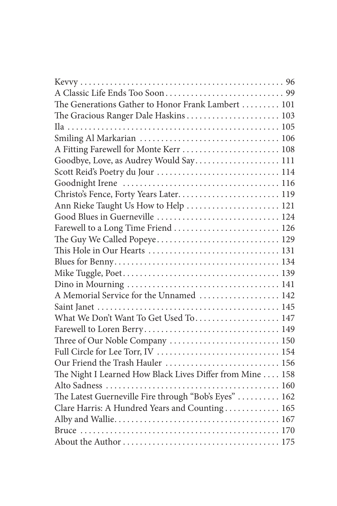| The Generations Gather to Honor Frank Lambert  101       |  |
|----------------------------------------------------------|--|
| The Gracious Ranger Dale Haskins  103                    |  |
|                                                          |  |
|                                                          |  |
| A Fitting Farewell for Monte Kerr  108                   |  |
| Goodbye, Love, as Audrey Would Say 111                   |  |
| Scott Reid's Poetry du Jour  114                         |  |
|                                                          |  |
| Christo's Fence, Forty Years Later 119                   |  |
| Ann Rieke Taught Us How to Help  121                     |  |
| Good Blues in Guerneville  124                           |  |
| Farewell to a Long Time Friend  126                      |  |
| The Guy We Called Popeye 129                             |  |
|                                                          |  |
|                                                          |  |
|                                                          |  |
|                                                          |  |
| A Memorial Service for the Unnamed  142                  |  |
|                                                          |  |
| What We Don't Want To Get Used To 147                    |  |
|                                                          |  |
| Three of Our Noble Company  150                          |  |
| Full Circle for Lee Torr, IV  154                        |  |
| Our Friend the Trash Hauler  156                         |  |
| The Night I Learned How Black Lives Differ from Mine 158 |  |
|                                                          |  |
| The Latest Guerneville Fire through "Bob's Eyes"  162    |  |
| Clare Harris: A Hundred Years and Counting 165           |  |
|                                                          |  |
|                                                          |  |
|                                                          |  |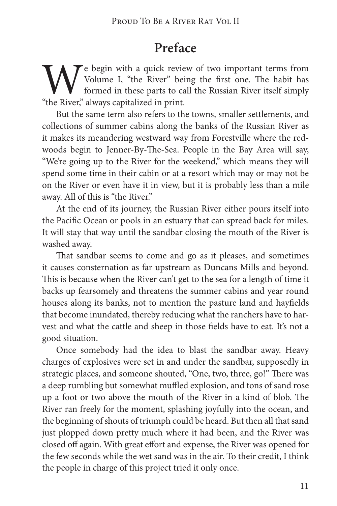## **Preface**

 $\sum_{\text{Volume I}}$  is the Divergent of two important terms from Volume I, "the River" being the first one. The habit has formed in these parts to call the Russian River itself simply "the River," always capitalized in print.

But the same term also refers to the towns, smaller settlements, and collections of summer cabins along the banks of the Russian River as it makes its meandering westward way from Forestville where the redwoods begin to Jenner-By-The-Sea. People in the Bay Area will say, "We're going up to the River for the weekend," which means they will spend some time in their cabin or at a resort which may or may not be on the River or even have it in view, but it is probably less than a mile away. All of this is "the River."

At the end of its journey, the Russian River either pours itself into the Pacific Ocean or pools in an estuary that can spread back for miles. It will stay that way until the sandbar closing the mouth of the River is washed away.

That sandbar seems to come and go as it pleases, and sometimes it causes consternation as far upstream as Duncans Mills and beyond. This is because when the River can't get to the sea for a length of time it backs up fearsomely and threatens the summer cabins and year round houses along its banks, not to mention the pasture land and hayfields that become inundated, thereby reducing what the ranchers have to harvest and what the cattle and sheep in those fields have to eat. It's not a good situation.

Once somebody had the idea to blast the sandbar away. Heavy charges of explosives were set in and under the sandbar, supposedly in strategic places, and someone shouted, "One, two, three, go!" There was a deep rumbling but somewhat muffled explosion, and tons of sand rose up a foot or two above the mouth of the River in a kind of blob. The River ran freely for the moment, splashing joyfully into the ocean, and the beginning of shouts of triumph could be heard. But then all that sand just plopped down pretty much where it had been, and the River was closed off again. With great effort and expense, the River was opened for the few seconds while the wet sand was in the air. To their credit, I think the people in charge of this project tried it only once.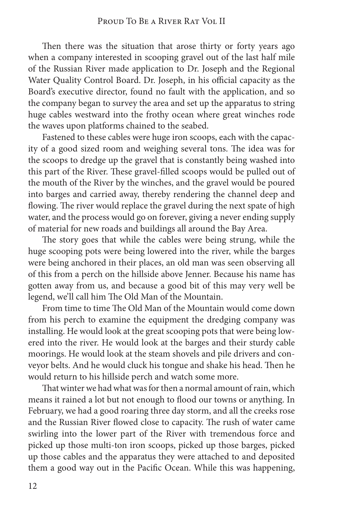Then there was the situation that arose thirty or forty years ago when a company interested in scooping gravel out of the last half mile of the Russian River made application to Dr. Joseph and the Regional Water Quality Control Board. Dr. Joseph, in his official capacity as the Board's executive director, found no fault with the application, and so the company began to survey the area and set up the apparatus to string huge cables westward into the frothy ocean where great winches rode the waves upon platforms chained to the seabed.

Fastened to these cables were huge iron scoops, each with the capacity of a good sized room and weighing several tons. The idea was for the scoops to dredge up the gravel that is constantly being washed into this part of the River. These gravel-filled scoops would be pulled out of the mouth of the River by the winches, and the gravel would be poured into barges and carried away, thereby rendering the channel deep and flowing. The river would replace the gravel during the next spate of high water, and the process would go on forever, giving a never ending supply of material for new roads and buildings all around the Bay Area.

The story goes that while the cables were being strung, while the huge scooping pots were being lowered into the river, while the barges were being anchored in their places, an old man was seen observing all of this from a perch on the hillside above Jenner. Because his name has gotten away from us, and because a good bit of this may very well be legend, we'll call him The Old Man of the Mountain.

From time to time The Old Man of the Mountain would come down from his perch to examine the equipment the dredging company was installing. He would look at the great scooping pots that were being lowered into the river. He would look at the barges and their sturdy cable moorings. He would look at the steam shovels and pile drivers and conveyor belts. And he would cluck his tongue and shake his head. Then he would return to his hillside perch and watch some more.

That winter we had what was for then a normal amount of rain, which means it rained a lot but not enough to flood our towns or anything. In February, we had a good roaring three day storm, and all the creeks rose and the Russian River flowed close to capacity. The rush of water came swirling into the lower part of the River with tremendous force and picked up those multi-ton iron scoops, picked up those barges, picked up those cables and the apparatus they were attached to and deposited them a good way out in the Pacific Ocean. While this was happening,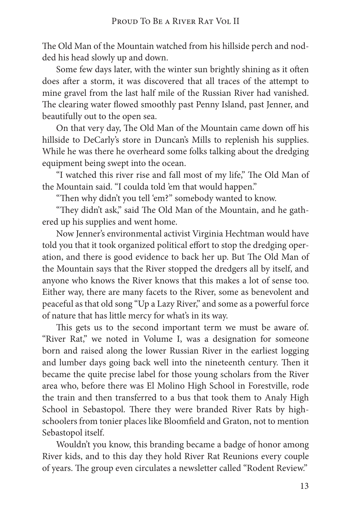The Old Man of the Mountain watched from his hillside perch and nodded his head slowly up and down.

Some few days later, with the winter sun brightly shining as it often does after a storm, it was discovered that all traces of the attempt to mine gravel from the last half mile of the Russian River had vanished. The clearing water flowed smoothly past Penny Island, past Jenner, and beautifully out to the open sea.

On that very day, The Old Man of the Mountain came down off his hillside to DeCarly's store in Duncan's Mills to replenish his supplies. While he was there he overheard some folks talking about the dredging equipment being swept into the ocean.

"I watched this river rise and fall most of my life," The Old Man of the Mountain said. "I coulda told 'em that would happen."

"Then why didn't you tell 'em?" somebody wanted to know.

"They didn't ask," said The Old Man of the Mountain, and he gathered up his supplies and went home.

Now Jenner's environmental activist Virginia Hechtman would have told you that it took organized political effort to stop the dredging operation, and there is good evidence to back her up. But The Old Man of the Mountain says that the River stopped the dredgers all by itself, and anyone who knows the River knows that this makes a lot of sense too. Either way, there are many facets to the River, some as benevolent and peaceful as that old song "Up a Lazy River," and some as a powerful force of nature that has little mercy for what's in its way.

This gets us to the second important term we must be aware of. "River Rat," we noted in Volume I, was a designation for someone born and raised along the lower Russian River in the earliest logging and lumber days going back well into the nineteenth century. Then it became the quite precise label for those young scholars from the River area who, before there was El Molino High School in Forestville, rode the train and then transferred to a bus that took them to Analy High School in Sebastopol. There they were branded River Rats by highschoolers from tonier places like Bloomfield and Graton, not to mention Sebastopol itself.

Wouldn't you know, this branding became a badge of honor among River kids, and to this day they hold River Rat Reunions every couple of years. The group even circulates a newsletter called "Rodent Review."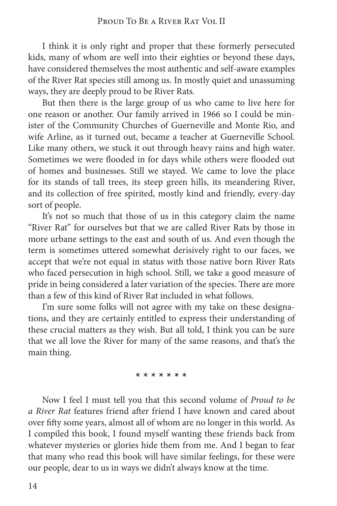I think it is only right and proper that these formerly persecuted kids, many of whom are well into their eighties or beyond these days, have considered themselves the most authentic and self-aware examples of the River Rat species still among us. In mostly quiet and unassuming ways, they are deeply proud to be River Rats.

But then there is the large group of us who came to live here for one reason or another. Our family arrived in 1966 so I could be minister of the Community Churches of Guerneville and Monte Rio, and wife Arline, as it turned out, became a teacher at Guerneville School. Like many others, we stuck it out through heavy rains and high water. Sometimes we were flooded in for days while others were flooded out of homes and businesses. Still we stayed. We came to love the place for its stands of tall trees, its steep green hills, its meandering River, and its collection of free spirited, mostly kind and friendly, every-day sort of people.

It's not so much that those of us in this category claim the name "River Rat" for ourselves but that we are called River Rats by those in more urbane settings to the east and south of us. And even though the term is sometimes uttered somewhat derisively right to our faces, we accept that we're not equal in status with those native born River Rats who faced persecution in high school. Still, we take a good measure of pride in being considered a later variation of the species. There are more than a few of this kind of River Rat included in what follows.

I'm sure some folks will not agree with my take on these designations, and they are certainly entitled to express their understanding of these crucial matters as they wish. But all told, I think you can be sure that we all love the River for many of the same reasons, and that's the main thing.

#### **\* \* \* \* \* \* \***

Now I feel I must tell you that this second volume of *Proud to be a River Rat* features friend after friend I have known and cared about over fifty some years, almost all of whom are no longer in this world. As I compiled this book, I found myself wanting these friends back from whatever mysteries or glories hide them from me. And I began to fear that many who read this book will have similar feelings, for these were our people, dear to us in ways we didn't always know at the time.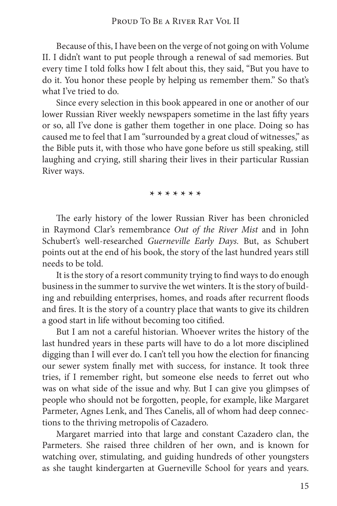Because of this, I have been on the verge of not going on with Volume II. I didn't want to put people through a renewal of sad memories. But every time I told folks how I felt about this, they said, "But you have to do it. You honor these people by helping us remember them." So that's what I've tried to do.

Since every selection in this book appeared in one or another of our lower Russian River weekly newspapers sometime in the last fifty years or so, all I've done is gather them together in one place. Doing so has caused me to feel that I am "surrounded by a great cloud of witnesses," as the Bible puts it, with those who have gone before us still speaking, still laughing and crying, still sharing their lives in their particular Russian River ways.

**\* \* \* \* \* \* \***

The early history of the lower Russian River has been chronicled in Raymond Clar's remembrance *Out of the River Mist* and in John Schubert's well-researched *Guerneville Early Days.* But, as Schubert points out at the end of his book, the story of the last hundred years still needs to be told.

It is the story of a resort community trying to find ways to do enough business in the summer to survive the wet winters. It is the story of building and rebuilding enterprises, homes, and roads after recurrent floods and fires. It is the story of a country place that wants to give its children a good start in life without becoming too citified.

But I am not a careful historian. Whoever writes the history of the last hundred years in these parts will have to do a lot more disciplined digging than I will ever do. I can't tell you how the election for financing our sewer system finally met with success, for instance. It took three tries, if I remember right, but someone else needs to ferret out who was on what side of the issue and why. But I can give you glimpses of people who should not be forgotten, people, for example, like Margaret Parmeter, Agnes Lenk, and Thes Canelis, all of whom had deep connections to the thriving metropolis of Cazadero.

Margaret married into that large and constant Cazadero clan, the Parmeters. She raised three children of her own, and is known for watching over, stimulating, and guiding hundreds of other youngsters as she taught kindergarten at Guerneville School for years and years.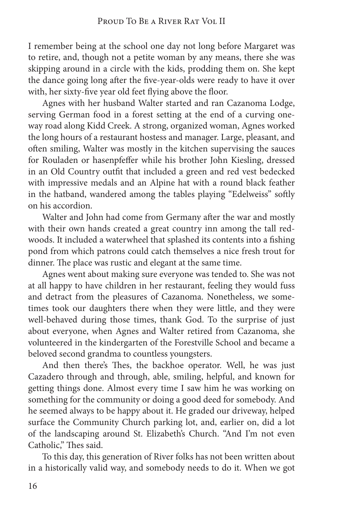I remember being at the school one day not long before Margaret was to retire, and, though not a petite woman by any means, there she was skipping around in a circle with the kids, prodding them on. She kept the dance going long after the five-year-olds were ready to have it over with, her sixty-five year old feet flying above the floor.

Agnes with her husband Walter started and ran Cazanoma Lodge, serving German food in a forest setting at the end of a curving oneway road along Kidd Creek. A strong, organized woman, Agnes worked the long hours of a restaurant hostess and manager. Large, pleasant, and often smiling, Walter was mostly in the kitchen supervising the sauces for Rouladen or hasenpfeffer while his brother John Kiesling, dressed in an Old Country outfit that included a green and red vest bedecked with impressive medals and an Alpine hat with a round black feather in the hatband, wandered among the tables playing "Edelweiss" softly on his accordion.

Walter and John had come from Germany after the war and mostly with their own hands created a great country inn among the tall redwoods. It included a waterwheel that splashed its contents into a fishing pond from which patrons could catch themselves a nice fresh trout for dinner. The place was rustic and elegant at the same time.

Agnes went about making sure everyone was tended to. She was not at all happy to have children in her restaurant, feeling they would fuss and detract from the pleasures of Cazanoma. Nonetheless, we sometimes took our daughters there when they were little, and they were well-behaved during those times, thank God. To the surprise of just about everyone, when Agnes and Walter retired from Cazanoma, she volunteered in the kindergarten of the Forestville School and became a beloved second grandma to countless youngsters.

And then there's Thes, the backhoe operator. Well, he was just Cazadero through and through, able, smiling, helpful, and known for getting things done. Almost every time I saw him he was working on something for the community or doing a good deed for somebody. And he seemed always to be happy about it. He graded our driveway, helped surface the Community Church parking lot, and, earlier on, did a lot of the landscaping around St. Elizabeth's Church. "And I'm not even Catholic," Thes said.

To this day, this generation of River folks has not been written about in a historically valid way, and somebody needs to do it. When we got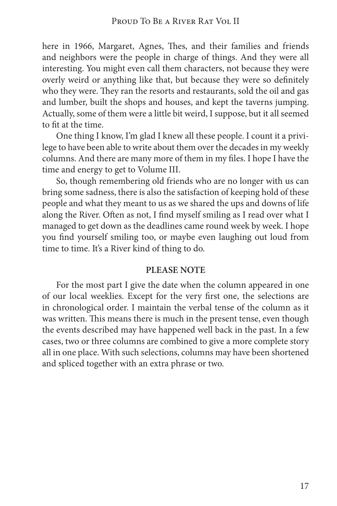here in 1966, Margaret, Agnes, Thes, and their families and friends and neighbors were the people in charge of things. And they were all interesting. You might even call them characters, not because they were overly weird or anything like that, but because they were so definitely who they were. They ran the resorts and restaurants, sold the oil and gas and lumber, built the shops and houses, and kept the taverns jumping. Actually, some of them were a little bit weird, I suppose, but it all seemed to fit at the time.

One thing I know, I'm glad I knew all these people. I count it a privilege to have been able to write about them over the decades in my weekly columns. And there are many more of them in my files. I hope I have the time and energy to get to Volume III.

So, though remembering old friends who are no longer with us can bring some sadness, there is also the satisfaction of keeping hold of these people and what they meant to us as we shared the ups and downs of life along the River. Often as not, I find myself smiling as I read over what I managed to get down as the deadlines came round week by week. I hope you find yourself smiling too, or maybe even laughing out loud from time to time. It's a River kind of thing to do.

#### **PLEASE NOTE**

For the most part I give the date when the column appeared in one of our local weeklies. Except for the very first one, the selections are in chronological order. I maintain the verbal tense of the column as it was written. This means there is much in the present tense, even though the events described may have happened well back in the past. In a few cases, two or three columns are combined to give a more complete story all in one place. With such selections, columns may have been shortened and spliced together with an extra phrase or two.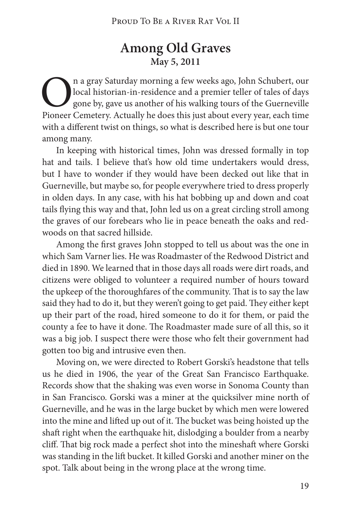## **Among Old Graves May 5, 2011**

On a gray Saturday morning a few weeks ago, John Schubert, our<br>local historian-in-residence and a premier teller of tales of days<br>gone by, gave us another of his walking tours of the Guerneville<br>Pioneer Cemetery. Actually local historian-in-residence and a premier teller of tales of days gone by, gave us another of his walking tours of the Guerneville Pioneer Cemetery. Actually he does this just about every year, each time with a different twist on things, so what is described here is but one tour among many.

In keeping with historical times, John was dressed formally in top hat and tails. I believe that's how old time undertakers would dress, but I have to wonder if they would have been decked out like that in Guerneville, but maybe so, for people everywhere tried to dress properly in olden days. In any case, with his hat bobbing up and down and coat tails flying this way and that, John led us on a great circling stroll among the graves of our forebears who lie in peace beneath the oaks and redwoods on that sacred hillside.

Among the first graves John stopped to tell us about was the one in which Sam Varner lies. He was Roadmaster of the Redwood District and died in 1890. We learned that in those days all roads were dirt roads, and citizens were obliged to volunteer a required number of hours toward the upkeep of the thoroughfares of the community. That is to say the law said they had to do it, but they weren't going to get paid. They either kept up their part of the road, hired someone to do it for them, or paid the county a fee to have it done. The Roadmaster made sure of all this, so it was a big job. I suspect there were those who felt their government had gotten too big and intrusive even then.

Moving on, we were directed to Robert Gorski's headstone that tells us he died in 1906, the year of the Great San Francisco Earthquake. Records show that the shaking was even worse in Sonoma County than in San Francisco. Gorski was a miner at the quicksilver mine north of Guerneville, and he was in the large bucket by which men were lowered into the mine and lifted up out of it. The bucket was being hoisted up the shaft right when the earthquake hit, dislodging a boulder from a nearby cliff. That big rock made a perfect shot into the mineshaft where Gorski was standing in the lift bucket. It killed Gorski and another miner on the spot. Talk about being in the wrong place at the wrong time.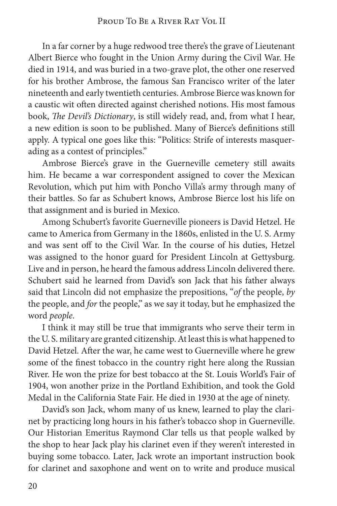In a far corner by a huge redwood tree there's the grave of Lieutenant Albert Bierce who fought in the Union Army during the Civil War. He died in 1914, and was buried in a two-grave plot, the other one reserved for his brother Ambrose, the famous San Francisco writer of the later nineteenth and early twentieth centuries. Ambrose Bierce was known for a caustic wit often directed against cherished notions. His most famous book, *The Devil's Dictionary*, is still widely read, and, from what I hear, a new edition is soon to be published. Many of Bierce's definitions still apply. A typical one goes like this: "Politics: Strife of interests masquerading as a contest of principles."

Ambrose Bierce's grave in the Guerneville cemetery still awaits him. He became a war correspondent assigned to cover the Mexican Revolution, which put him with Poncho Villa's army through many of their battles. So far as Schubert knows, Ambrose Bierce lost his life on that assignment and is buried in Mexico.

Among Schubert's favorite Guerneville pioneers is David Hetzel. He came to America from Germany in the 1860s, enlisted in the U. S. Army and was sent off to the Civil War. In the course of his duties, Hetzel was assigned to the honor guard for President Lincoln at Gettysburg. Live and in person, he heard the famous address Lincoln delivered there. Schubert said he learned from David's son Jack that his father always said that Lincoln did not emphasize the prepositions, "*of* the people, *by*  the people, and *for* the people," as we say it today, but he emphasized the word *people*.

I think it may still be true that immigrants who serve their term in the U. S. military are granted citizenship. At least this is what happened to David Hetzel. After the war, he came west to Guerneville where he grew some of the finest tobacco in the country right here along the Russian River. He won the prize for best tobacco at the St. Louis World's Fair of 1904, won another prize in the Portland Exhibition, and took the Gold Medal in the California State Fair. He died in 1930 at the age of ninety.

David's son Jack, whom many of us knew, learned to play the clarinet by practicing long hours in his father's tobacco shop in Guerneville. Our Historian Emeritus Raymond Clar tells us that people walked by the shop to hear Jack play his clarinet even if they weren't interested in buying some tobacco. Later, Jack wrote an important instruction book for clarinet and saxophone and went on to write and produce musical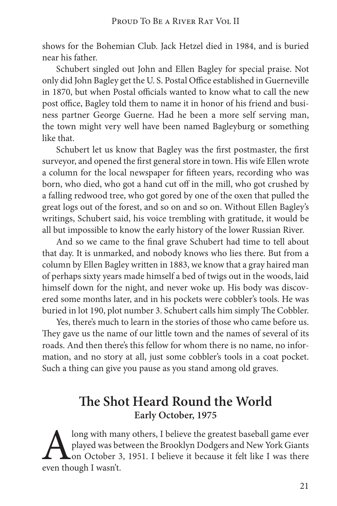shows for the Bohemian Club. Jack Hetzel died in 1984, and is buried near his father.

Schubert singled out John and Ellen Bagley for special praise. Not only did John Bagley get the U.S. Postal Office established in Guerneville in 1870, but when Postal officials wanted to know what to call the new post office, Bagley told them to name it in honor of his friend and business partner George Guerne. Had he been a more self serving man, the town might very well have been named Bagleyburg or something like that.

Schubert let us know that Bagley was the first postmaster, the first surveyor, and opened the first general store in town. His wife Ellen wrote a column for the local newspaper for fifteen years, recording who was born, who died, who got a hand cut off in the mill, who got crushed by a falling redwood tree, who got gored by one of the oxen that pulled the great logs out of the forest, and so on and so on. Without Ellen Bagley's writings, Schubert said, his voice trembling with gratitude, it would be all but impossible to know the early history of the lower Russian River.

And so we came to the final grave Schubert had time to tell about that day. It is unmarked, and nobody knows who lies there. But from a column by Ellen Bagley written in 1883, we know that a gray haired man of perhaps sixty years made himself a bed of twigs out in the woods, laid himself down for the night, and never woke up. His body was discovered some months later, and in his pockets were cobbler's tools. He was buried in lot 190, plot number 3. Schubert calls him simply The Cobbler.

Yes, there's much to learn in the stories of those who came before us. They gave us the name of our little town and the names of several of its roads. And then there's this fellow for whom there is no name, no information, and no story at all, just some cobbler's tools in a coat pocket. Such a thing can give you pause as you stand among old graves.

## **e Shot Heard Round the World Early October, 1975**

Along with many others, I believe the greatest baseball game ever<br>played was between the Brooklyn Dodgers and New York Giants<br>on October 3, 1951. I believe it because it felt like I was there<br>even though I wasn't. played was between the Brooklyn Dodgers and New York Giants on October 3, 1951. I believe it because it felt like I was there even though I wasn't.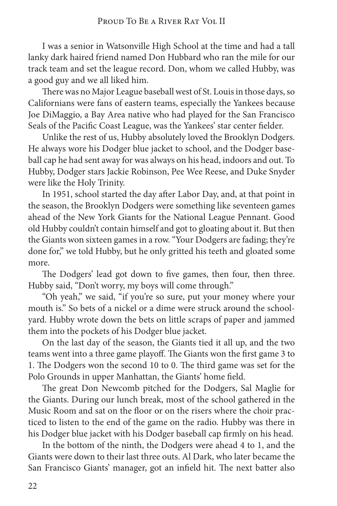I was a senior in Watsonville High School at the time and had a tall lanky dark haired friend named Don Hubbard who ran the mile for our track team and set the league record. Don, whom we called Hubby, was a good guy and we all liked him.

There was no Major League baseball west of St. Louis in those days, so Californians were fans of eastern teams, especially the Yankees because Joe DiMaggio, a Bay Area native who had played for the San Francisco Seals of the Pacific Coast League, was the Yankees' star center fielder.

Unlike the rest of us, Hubby absolutely loved the Brooklyn Dodgers. He always wore his Dodger blue jacket to school, and the Dodger baseball cap he had sent away for was always on his head, indoors and out. To Hubby, Dodger stars Jackie Robinson, Pee Wee Reese, and Duke Snyder were like the Holy Trinity.

In 1951, school started the day after Labor Day, and, at that point in the season, the Brooklyn Dodgers were something like seventeen games ahead of the New York Giants for the National League Pennant. Good old Hubby couldn't contain himself and got to gloating about it. But then the Giants won sixteen games in a row. "Your Dodgers are fading; they're done for," we told Hubby, but he only gritted his teeth and gloated some more.

The Dodgers' lead got down to five games, then four, then three. Hubby said, "Don't worry, my boys will come through."

"Oh yeah," we said, "if you're so sure, put your money where your mouth is." So bets of a nickel or a dime were struck around the schoolyard. Hubby wrote down the bets on little scraps of paper and jammed them into the pockets of his Dodger blue jacket.

On the last day of the season, the Giants tied it all up, and the two teams went into a three game playoff. The Giants won the first game 3 to 1. The Dodgers won the second 10 to 0. The third game was set for the Polo Grounds in upper Manhattan, the Giants' home field.

The great Don Newcomb pitched for the Dodgers, Sal Maglie for the Giants. During our lunch break, most of the school gathered in the Music Room and sat on the floor or on the risers where the choir practiced to listen to the end of the game on the radio. Hubby was there in his Dodger blue jacket with his Dodger baseball cap firmly on his head.

In the bottom of the ninth, the Dodgers were ahead 4 to 1, and the Giants were down to their last three outs. Al Dark, who later became the San Francisco Giants' manager, got an infield hit. The next batter also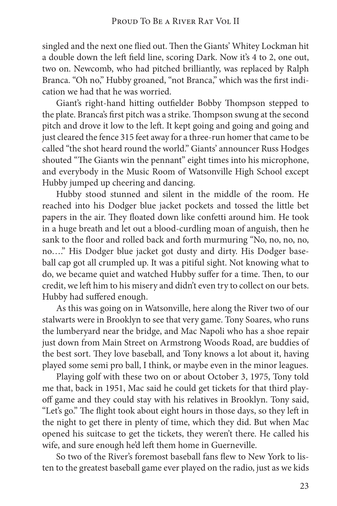singled and the next one flied out. Then the Giants' Whitey Lockman hit a double down the left field line, scoring Dark. Now it's 4 to 2, one out, two on. Newcomb, who had pitched brilliantly, was replaced by Ralph Branca. "Oh no," Hubby groaned, "not Branca," which was the first indication we had that he was worried.

Giant's right-hand hitting outfielder Bobby Thompson stepped to the plate. Branca's first pitch was a strike. Thompson swung at the second pitch and drove it low to the left. It kept going and going and going and just cleared the fence 315 feet away for a three-run homer that came to be called "the shot heard round the world." Giants' announcer Russ Hodges shouted "The Giants win the pennant" eight times into his microphone, and everybody in the Music Room of Watsonville High School except Hubby jumped up cheering and dancing.

Hubby stood stunned and silent in the middle of the room. He reached into his Dodger blue jacket pockets and tossed the little bet papers in the air. They floated down like confetti around him. He took in a huge breath and let out a blood-curdling moan of anguish, then he sank to the floor and rolled back and forth murmuring "No, no, no, no, no…." His Dodger blue jacket got dusty and dirty. His Dodger baseball cap got all crumpled up. It was a pitiful sight. Not knowing what to do, we became quiet and watched Hubby suffer for a time. Then, to our credit, we left him to his misery and didn't even try to collect on our bets. Hubby had suffered enough.

As this was going on in Watsonville, here along the River two of our stalwarts were in Brooklyn to see that very game. Tony Soares, who runs the lumberyard near the bridge, and Mac Napoli who has a shoe repair just down from Main Street on Armstrong Woods Road, are buddies of the best sort. They love baseball, and Tony knows a lot about it, having played some semi pro ball, I think, or maybe even in the minor leagues.

Playing golf with these two on or about October 3, 1975, Tony told me that, back in 1951, Mac said he could get tickets for that third playoff game and they could stay with his relatives in Brooklyn. Tony said, "Let's go." The flight took about eight hours in those days, so they left in the night to get there in plenty of time, which they did. But when Mac opened his suitcase to get the tickets, they weren't there. He called his wife, and sure enough he'd left them home in Guerneville.

So two of the River's foremost baseball fans flew to New York to listen to the greatest baseball game ever played on the radio, just as we kids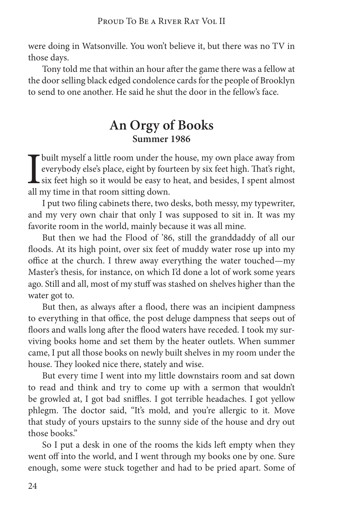were doing in Watsonville. You won't believe it, but there was no TV in those days.

Tony told me that within an hour after the game there was a fellow at the door selling black edged condolence cards for the people of Brooklyn to send to one another. He said he shut the door in the fellow's face.

## **An Orgy of Books Summer 1986**

I built myself a little room under the house, my own place away from everybody else's place, eight by fourteen by six feet high. That's right, six feet high so it would be easy to heat, and besides, I spent almost all my t everybody else's place, eight by fourteen by six feet high. That's right, six feet high so it would be easy to heat, and besides, I spent almost all my time in that room sitting down.

I put two filing cabinets there, two desks, both messy, my typewriter, and my very own chair that only I was supposed to sit in. It was my favorite room in the world, mainly because it was all mine.

But then we had the Flood of '86, still the granddaddy of all our floods. At its high point, over six feet of muddy water rose up into my office at the church. I threw away everything the water touched—my Master's thesis, for instance, on which I'd done a lot of work some years ago. Still and all, most of my stuff was stashed on shelves higher than the water got to.

But then, as always after a flood, there was an incipient dampness to everything in that office, the post deluge dampness that seeps out of floors and walls long after the flood waters have receded. I took my surviving books home and set them by the heater outlets. When summer came, I put all those books on newly built shelves in my room under the house. They looked nice there, stately and wise.

But every time I went into my little downstairs room and sat down to read and think and try to come up with a sermon that wouldn't be growled at, I got bad sniffles. I got terrible headaches. I got yellow phlegm. The doctor said, "It's mold, and you're allergic to it. Move that study of yours upstairs to the sunny side of the house and dry out those books."

So I put a desk in one of the rooms the kids left empty when they went off into the world, and I went through my books one by one. Sure enough, some were stuck together and had to be pried apart. Some of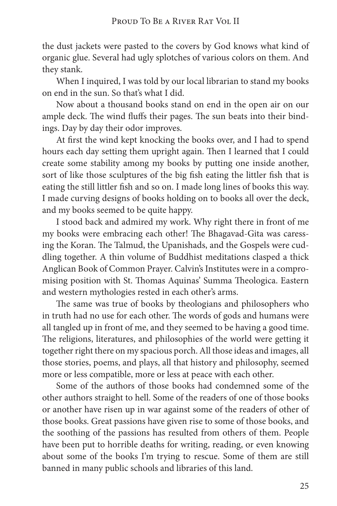the dust jackets were pasted to the covers by God knows what kind of organic glue. Several had ugly splotches of various colors on them. And they stank.

When I inquired, I was told by our local librarian to stand my books on end in the sun. So that's what I did.

Now about a thousand books stand on end in the open air on our ample deck. The wind fluffs their pages. The sun beats into their bindings. Day by day their odor improves.

At first the wind kept knocking the books over, and I had to spend hours each day setting them upright again. Then I learned that I could create some stability among my books by putting one inside another, sort of like those sculptures of the big fish eating the littler fish that is eating the still littler fish and so on. I made long lines of books this way. I made curving designs of books holding on to books all over the deck, and my books seemed to be quite happy.

I stood back and admired my work. Why right there in front of me my books were embracing each other! The Bhagavad-Gita was caressing the Koran. The Talmud, the Upanishads, and the Gospels were cuddling together. A thin volume of Buddhist meditations clasped a thick Anglican Book of Common Prayer. Calvin's Institutes were in a compromising position with St. Thomas Aquinas' Summa Theologica. Eastern and western mythologies rested in each other's arms.

The same was true of books by theologians and philosophers who in truth had no use for each other. The words of gods and humans were all tangled up in front of me, and they seemed to be having a good time. The religions, literatures, and philosophies of the world were getting it together right there on my spacious porch. All those ideas and images, all those stories, poems, and plays, all that history and philosophy, seemed more or less compatible, more or less at peace with each other.

Some of the authors of those books had condemned some of the other authors straight to hell. Some of the readers of one of those books or another have risen up in war against some of the readers of other of those books. Great passions have given rise to some of those books, and the soothing of the passions has resulted from others of them. People have been put to horrible deaths for writing, reading, or even knowing about some of the books I'm trying to rescue. Some of them are still banned in many public schools and libraries of this land.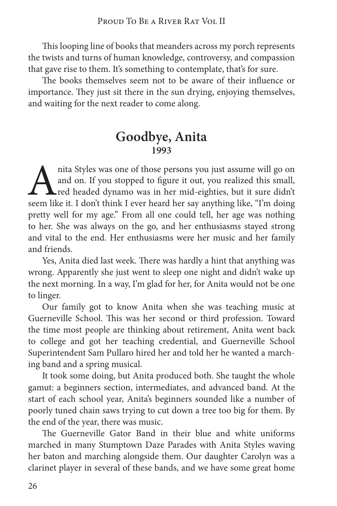This looping line of books that meanders across my porch represents the twists and turns of human knowledge, controversy, and compassion that gave rise to them. It's something to contemplate, that's for sure.

The books themselves seem not to be aware of their influence or importance. They just sit there in the sun drying, enjoying themselves, and waiting for the next reader to come along.

### **Goodbye, Anita 1993**

nita Styles was one of those persons you just assume will go on<br>and on. If you stopped to figure it out, you realized this small,<br>red headed dynamo was in her mid-eighties, but it sure didn't<br>seem like it. I don't think I and on. If you stopped to figure it out, you realized this small, red headed dynamo was in her mid-eighties, but it sure didn't seem like it. I don't think I ever heard her say anything like, "I'm doing pretty well for my age." From all one could tell, her age was nothing to her. She was always on the go, and her enthusiasms stayed strong and vital to the end. Her enthusiasms were her music and her family and friends.

Yes, Anita died last week. There was hardly a hint that anything was wrong. Apparently she just went to sleep one night and didn't wake up the next morning. In a way, I'm glad for her, for Anita would not be one to linger.

Our family got to know Anita when she was teaching music at Guerneville School. This was her second or third profession. Toward the time most people are thinking about retirement, Anita went back to college and got her teaching credential, and Guerneville School Superintendent Sam Pullaro hired her and told her he wanted a marching band and a spring musical.

It took some doing, but Anita produced both. She taught the whole gamut: a beginners section, intermediates, and advanced band. At the start of each school year, Anita's beginners sounded like a number of poorly tuned chain saws trying to cut down a tree too big for them. By the end of the year, there was music.

The Guerneville Gator Band in their blue and white uniforms marched in many Stumptown Daze Parades with Anita Styles waving her baton and marching alongside them. Our daughter Carolyn was a clarinet player in several of these bands, and we have some great home